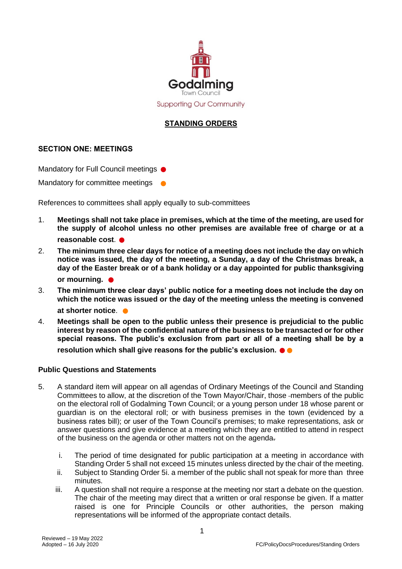

## **STANDING ORDERS**

## **SECTION ONE: MEETINGS**

Mandatory for Full Council meetings ●

Mandatory for committee meetings  $\bullet$ 

References to committees shall apply equally to sub-committees

- 1. **Meetings shall not take place in premises, which at the time of the meeting, are used for the supply of alcohol unless no other premises are available free of charge or at a reasonable cost**. ●
- 2. **The minimum three clear days for notice of a meeting does not include the day on which notice was issued, the day of the meeting, a Sunday, a day of the Christmas break, a day of the Easter break or of a bank holiday or a day appointed for public thanksgiving or mourning.**
- 3. **The minimum three clear days' public notice for a meeting does not include the day on which the notice was issued or the day of the meeting unless the meeting is convened**  at shorter notice.
- 4. **Meetings shall be open to the public unless their presence is prejudicial to the public interest by reason of the confidential nature of the business to be transacted or for other special reasons. The public's exclusion from part or all of a meeting shall be by a resolution which shall give reasons for the public's exclusion.** ●●

## **Public Questions and Statements**

- 5. A standard item will appear on all agendas of Ordinary Meetings of the Council and Standing Committees to allow, at the discretion of the Town Mayor/Chair, those -members of the public on the electoral roll of Godalming Town Council; or a young person under 18 whose parent or guardian is on the electoral roll; or with business premises in the town (evidenced by a business rates bill); or user of the Town Council's premises; to make representations, ask or answer questions and give evidence at a meeting which they are entitled to attend in respect of the business on the agenda or other matters not on the agenda.
	- i. The period of time designated for public participation at a meeting in accordance with Standing Order 5 shall not exceed 15 minutes unless directed by the chair of the meeting.
	- ii. Subject to Standing Order 5i. a member of the public shall not speak for more than three minutes.
	- iii. A question shall not require a response at the meeting nor start a debate on the question. The chair of the meeting may direct that a written or oral response be given. If a matter raised is one for Principle Councils or other authorities, the person making representations will be informed of the appropriate contact details.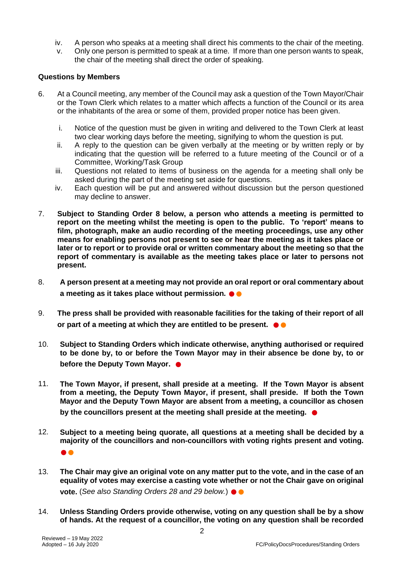- iv. A person who speaks at a meeting shall direct his comments to the chair of the meeting.
- v. Only one person is permitted to speak at a time. If more than one person wants to speak, the chair of the meeting shall direct the order of speaking.

## **Questions by Members**

- 6. At a Council meeting, any member of the Council may ask a question of the Town Mayor/Chair or the Town Clerk which relates to a matter which affects a function of the Council or its area or the inhabitants of the area or some of them, provided proper notice has been given.
	- i. Notice of the question must be given in writing and delivered to the Town Clerk at least two clear working days before the meeting, signifying to whom the question is put.
	- ii. A reply to the question can be given verbally at the meeting or by written reply or by indicating that the question will be referred to a future meeting of the Council or of a Committee, Working/Task Group
	- iii. Questions not related to items of business on the agenda for a meeting shall only be asked during the part of the meeting set aside for questions.
	- iv. Each question will be put and answered without discussion but the person questioned may decline to answer.
- 7. **Subject to Standing Order 8 below, a person who attends a meeting is permitted to report on the meeting whilst the meeting is open to the public. To 'report' means to film, photograph, make an audio recording of the meeting proceedings, use any other means for enabling persons not present to see or hear the meeting as it takes place or later or to report or to provide oral or written commentary about the meeting so that the report of commentary is available as the meeting takes place or later to persons not present.**
- 8. **A person present at a meeting may not provide an oral report or oral commentary about a meeting as it takes place without permission.** ●●
- 9. **The press shall be provided with reasonable facilities for the taking of their report of all or part of a meeting at which they are entitled to be present.**  $\bullet \bullet$
- 10. **Subject to Standing Orders which indicate otherwise, anything authorised or required to be done by, to or before the Town Mayor may in their absence be done by, to or before the Deputy Town Mayor. ●**
- 11. **The Town Mayor, if present, shall preside at a meeting. If the Town Mayor is absent from a meeting, the Deputy Town Mayor, if present, shall preside. If both the Town Mayor and the Deputy Town Mayor are absent from a meeting, a councillor as chosen by the councillors present at the meeting shall preside at the meeting.**  $\bullet$
- 12. **Subject to a meeting being quorate, all questions at a meeting shall be decided by a majority of the councillors and non-councillors with voting rights present and voting.**  ●●
- 13. **The Chair may give an original vote on any matter put to the vote, and in the case of an equality of votes may exercise a casting vote whether or not the Chair gave on original vote.** (*See also Standing Orders 28 and 29 below.*) ●●
- 14. **Unless Standing Orders provide otherwise, voting on any question shall be by a show of hands. At the request of a councillor, the voting on any question shall be recorded**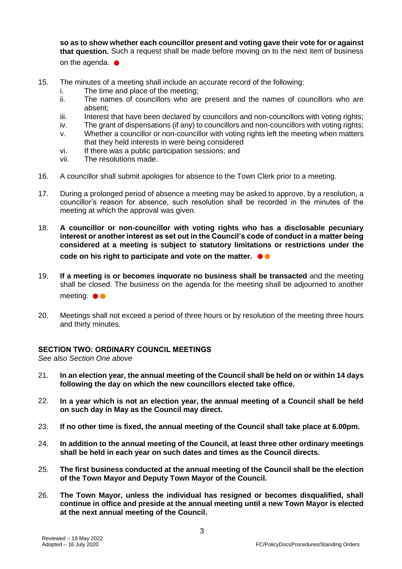**so as to show whether each councillor present and voting gave their vote for or against that question.** Such a request shall be made before moving on to the next item of business on the agenda.  $\bullet$ 

- 15. The minutes of a meeting shall include an accurate record of the following:
	- i. The time and place of the meeting;
	- ii. The names of councillors who are present and the names of councillors who are absent;
	- iii. Interest that have been declared by councillors and non-councillors with voting rights;
	- iv. The grant of dispensations (if any) to councillors and non-councillors with voting rights;
	- v. Whether a councillor or non-councillor with voting rights left the meeting when matters that they held interests in were being considered
	- vi. If there was a public participation sessions; and
	- vii. The resolutions made.
- 16. A councillor shall submit apologies for absence to the Town Clerk prior to a meeting.
- 17. During a prolonged period of absence a meeting may be asked to approve, by a resolution, a councillor's reason for absence, such resolution shall be recorded in the minutes of the meeting at which the approval was given.
- 18. **A councillor or non-councillor with voting rights who has a disclosable pecuniary interest or another interest as set out in the Council's code of conduct in a matter being considered at a meeting is subject to statutory limitations or restrictions under the code on his right to participate and vote on the matter. ●●**
- 19. **If a meeting is or becomes inquorate no business shall be transacted** and the meeting shall be closed. The business on the agenda for the meeting shall be adjourned to another meeting. ●●
- 20. Meetings shall not exceed a period of three hours or by resolution of the meeting three hours and thirty minutes.

## **SECTION TWO: ORDINARY COUNCIL MEETINGS**

*See also Section One above*

- 21. **In an election year, the annual meeting of the Council shall be held on or within 14 days following the day on which the new councillors elected take office.**
- 22. **In a year which is not an election year, the annual meeting of a Council shall be held on such day in May as the Council may direct.**
- 23. **If no other time is fixed, the annual meeting of the Council shall take place at 6.00pm.**
- 24. **In addition to the annual meeting of the Council, at least three other ordinary meetings shall be held in each year on such dates and times as the Council directs.**
- 25. **The first business conducted at the annual meeting of the Council shall be the election of the Town Mayor and Deputy Town Mayor of the Council.**
- 26. **The Town Mayor, unless the individual has resigned or becomes disqualified, shall continue in office and preside at the annual meeting until a new Town Mayor is elected at the next annual meeting of the Council.**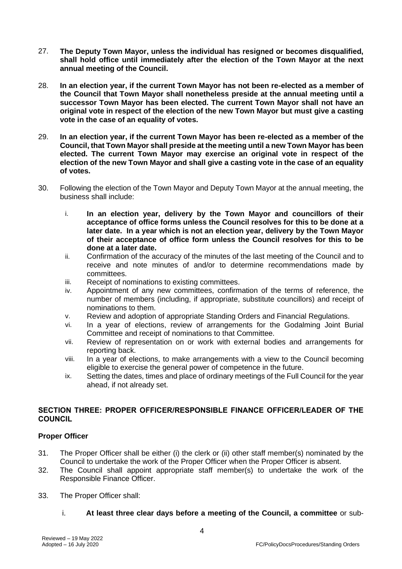- 27. **The Deputy Town Mayor, unless the individual has resigned or becomes disqualified, shall hold office until immediately after the election of the Town Mayor at the next annual meeting of the Council.**
- 28. **In an election year, if the current Town Mayor has not been re-elected as a member of the Council that Town Mayor shall nonetheless preside at the annual meeting until a successor Town Mayor has been elected. The current Town Mayor shall not have an original vote in respect of the election of the new Town Mayor but must give a casting vote in the case of an equality of votes.**
- 29. **In an election year, if the current Town Mayor has been re-elected as a member of the Council, that Town Mayor shall preside at the meeting until a new Town Mayor has been elected. The current Town Mayor may exercise an original vote in respect of the election of the new Town Mayor and shall give a casting vote in the case of an equality of votes.**
- 30. Following the election of the Town Mayor and Deputy Town Mayor at the annual meeting, the business shall include:
	- i. **In an election year, delivery by the Town Mayor and councillors of their acceptance of office forms unless the Council resolves for this to be done at a later date. In a year which is not an election year, delivery by the Town Mayor of their acceptance of office form unless the Council resolves for this to be done at a later date.**
	- ii. Confirmation of the accuracy of the minutes of the last meeting of the Council and to receive and note minutes of and/or to determine recommendations made by committees.
	- iii. Receipt of nominations to existing committees.
	- iv. Appointment of any new committees, confirmation of the terms of reference, the number of members (including, if appropriate, substitute councillors) and receipt of nominations to them.
	- v. Review and adoption of appropriate Standing Orders and Financial Regulations.
	- vi. In a year of elections, review of arrangements for the Godalming Joint Burial Committee and receipt of nominations to that Committee.
	- vii. Review of representation on or work with external bodies and arrangements for reporting back.
	- viii. In a year of elections, to make arrangements with a view to the Council becoming eligible to exercise the general power of competence in the future.
	- ix. Setting the dates, times and place of ordinary meetings of the Full Council for the year ahead, if not already set.

## **SECTION THREE: PROPER OFFICER/RESPONSIBLE FINANCE OFFICER/LEADER OF THE COUNCIL**

## **Proper Officer**

- 31. The Proper Officer shall be either (i) the clerk or (ii) other staff member(s) nominated by the Council to undertake the work of the Proper Officer when the Proper Officer is absent.
- 32. The Council shall appoint appropriate staff member(s) to undertake the work of the Responsible Finance Officer.
- 33. The Proper Officer shall:
	- i. **At least three clear days before a meeting of the Council, a committee** or sub-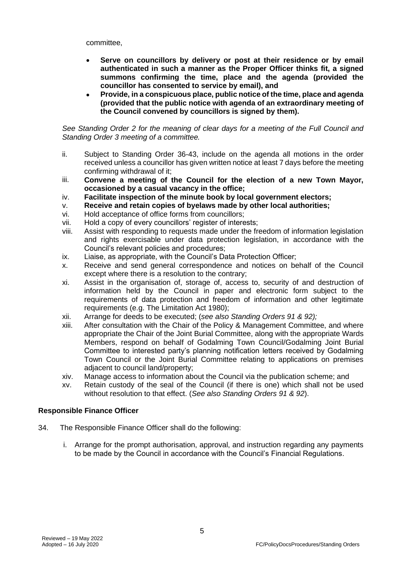committee,

- **Serve on councillors by delivery or post at their residence or by email authenticated in such a manner as the Proper Officer thinks fit, a signed summons confirming the time, place and the agenda (provided the councillor has consented to service by email), and**
- **Provide, in a conspicuous place, public notice of the time, place and agenda (provided that the public notice with agenda of an extraordinary meeting of the Council convened by councillors is signed by them).**

*See Standing Order 2 for the meaning of clear days for a meeting of the Full Council and Standing Order 3 meeting of a committee.*

- ii. Subject to Standing Order 36-43, include on the agenda all motions in the order received unless a councillor has given written notice at least 7 days before the meeting confirming withdrawal of it;
- iii. **Convene a meeting of the Council for the election of a new Town Mayor, occasioned by a casual vacancy in the office;**
- iv. **Facilitate inspection of the minute book by local government electors;**
- v. **Receive and retain copies of byelaws made by other local authorities;**
- vi. Hold acceptance of office forms from councillors;
- vii. Hold a copy of every councillors' register of interests;
- viii. Assist with responding to requests made under the freedom of information legislation and rights exercisable under data protection legislation, in accordance with the Council's relevant policies and procedures;
- ix. Liaise, as appropriate, with the Council's Data Protection Officer;
- x. Receive and send general correspondence and notices on behalf of the Council except where there is a resolution to the contrary;
- xi. Assist in the organisation of, storage of, access to, security of and destruction of information held by the Council in paper and electronic form subject to the requirements of data protection and freedom of information and other legitimate requirements (e.g. The Limitation Act 1980);
- xii. Arrange for deeds to be executed; (*see also Standing Orders 91 & 92);*
- xiii. After consultation with the Chair of the Policy & Management Committee, and where appropriate the Chair of the Joint Burial Committee, along with the appropriate Wards Members, respond on behalf of Godalming Town Council/Godalming Joint Burial Committee to interested party's planning notification letters received by Godalming Town Council or the Joint Burial Committee relating to applications on premises adjacent to council land/property;
- xiv. Manage access to information about the Council via the publication scheme; and
- xv. Retain custody of the seal of the Council (if there is one) which shall not be used without resolution to that effect. (*See also Standing Orders 91 & 92*).

## **Responsible Finance Officer**

- 34. The Responsible Finance Officer shall do the following:
	- i. Arrange for the prompt authorisation, approval, and instruction regarding any payments to be made by the Council in accordance with the Council's Financial Regulations.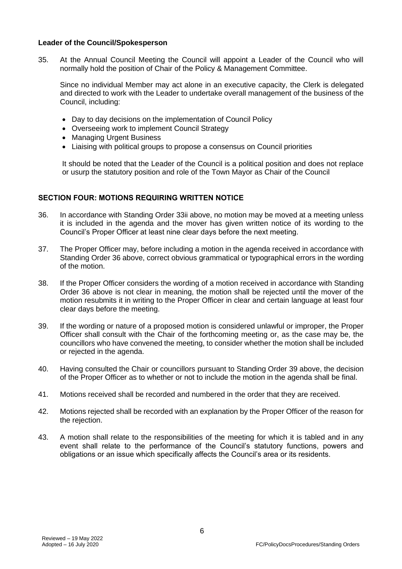## **Leader of the Council/Spokesperson**

35. At the Annual Council Meeting the Council will appoint a Leader of the Council who will normally hold the position of Chair of the Policy & Management Committee.

Since no individual Member may act alone in an executive capacity, the Clerk is delegated and directed to work with the Leader to undertake overall management of the business of the Council, including:

- Day to day decisions on the implementation of Council Policy
- Overseeing work to implement Council Strategy
- Managing Urgent Business
- Liaising with political groups to propose a consensus on Council priorities

It should be noted that the Leader of the Council is a political position and does not replace or usurp the statutory position and role of the Town Mayor as Chair of the Council

## **SECTION FOUR: MOTIONS REQUIRING WRITTEN NOTICE**

- 36. In accordance with Standing Order 33ii above, no motion may be moved at a meeting unless it is included in the agenda and the mover has given written notice of its wording to the Council's Proper Officer at least nine clear days before the next meeting.
- 37. The Proper Officer may, before including a motion in the agenda received in accordance with Standing Order 36 above, correct obvious grammatical or typographical errors in the wording of the motion.
- 38. If the Proper Officer considers the wording of a motion received in accordance with Standing Order 36 above is not clear in meaning, the motion shall be rejected until the mover of the motion resubmits it in writing to the Proper Officer in clear and certain language at least four clear days before the meeting.
- 39. If the wording or nature of a proposed motion is considered unlawful or improper, the Proper Officer shall consult with the Chair of the forthcoming meeting or, as the case may be, the councillors who have convened the meeting, to consider whether the motion shall be included or rejected in the agenda.
- 40. Having consulted the Chair or councillors pursuant to Standing Order 39 above, the decision of the Proper Officer as to whether or not to include the motion in the agenda shall be final.
- 41. Motions received shall be recorded and numbered in the order that they are received.
- 42. Motions rejected shall be recorded with an explanation by the Proper Officer of the reason for the rejection.
- 43. A motion shall relate to the responsibilities of the meeting for which it is tabled and in any event shall relate to the performance of the Council's statutory functions, powers and obligations or an issue which specifically affects the Council's area or its residents.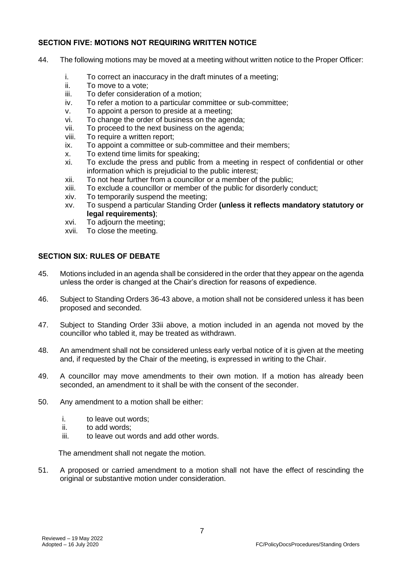## **SECTION FIVE: MOTIONS NOT REQUIRING WRITTEN NOTICE**

- 44. The following motions may be moved at a meeting without written notice to the Proper Officer:
	- i. To correct an inaccuracy in the draft minutes of a meeting;
	- ii. To move to a vote;
	- iii. To defer consideration of a motion;
	- iv. To refer a motion to a particular committee or sub-committee;
	- v. To appoint a person to preside at a meeting;
	- vi. To change the order of business on the agenda;
	- vii. To proceed to the next business on the agenda;
	- viii. To require a written report;
	- ix. To appoint a committee or sub-committee and their members;
	- x. To extend time limits for speaking;
	- xi. To exclude the press and public from a meeting in respect of confidential or other information which is prejudicial to the public interest;
	- xii. To not hear further from a councillor or a member of the public;
	- xiii. To exclude a councillor or member of the public for disorderly conduct;
	- xiv. To temporarily suspend the meeting;
	- xv. To suspend a particular Standing Order **(unless it reflects mandatory statutory or legal requirements)**;
	- xvi. To adjourn the meeting;
	- xvii. To close the meeting.

## **SECTION SIX: RULES OF DEBATE**

- 45. Motions included in an agenda shall be considered in the order that they appear on the agenda unless the order is changed at the Chair's direction for reasons of expedience.
- 46. Subject to Standing Orders 36-43 above, a motion shall not be considered unless it has been proposed and seconded.
- 47. Subject to Standing Order 33ii above, a motion included in an agenda not moved by the councillor who tabled it, may be treated as withdrawn.
- 48. An amendment shall not be considered unless early verbal notice of it is given at the meeting and, if requested by the Chair of the meeting, is expressed in writing to the Chair.
- 49. A councillor may move amendments to their own motion. If a motion has already been seconded, an amendment to it shall be with the consent of the seconder.
- 50. Any amendment to a motion shall be either:
	- i. to leave out words;
	- ii. to add words;
	- iii. to leave out words and add other words.

The amendment shall not negate the motion.

51. A proposed or carried amendment to a motion shall not have the effect of rescinding the original or substantive motion under consideration.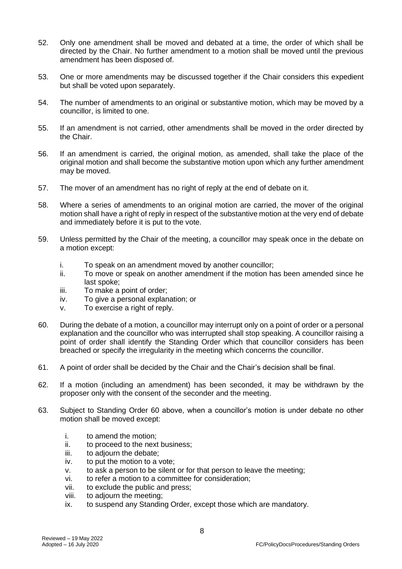- 52. Only one amendment shall be moved and debated at a time, the order of which shall be directed by the Chair. No further amendment to a motion shall be moved until the previous amendment has been disposed of.
- 53. One or more amendments may be discussed together if the Chair considers this expedient but shall be voted upon separately.
- 54. The number of amendments to an original or substantive motion, which may be moved by a councillor, is limited to one.
- 55. If an amendment is not carried, other amendments shall be moved in the order directed by the Chair.
- 56. If an amendment is carried, the original motion, as amended, shall take the place of the original motion and shall become the substantive motion upon which any further amendment may be moved.
- 57. The mover of an amendment has no right of reply at the end of debate on it.
- 58. Where a series of amendments to an original motion are carried, the mover of the original motion shall have a right of reply in respect of the substantive motion at the very end of debate and immediately before it is put to the vote.
- 59. Unless permitted by the Chair of the meeting, a councillor may speak once in the debate on a motion except:
	- i. To speak on an amendment moved by another councillor;
	- ii. To move or speak on another amendment if the motion has been amended since he last spoke;
	- iii. To make a point of order;
	- iv. To give a personal explanation; or
	- v. To exercise a right of reply.
- 60. During the debate of a motion, a councillor may interrupt only on a point of order or a personal explanation and the councillor who was interrupted shall stop speaking. A councillor raising a point of order shall identify the Standing Order which that councillor considers has been breached or specify the irregularity in the meeting which concerns the councillor.
- 61. A point of order shall be decided by the Chair and the Chair's decision shall be final.
- 62. If a motion (including an amendment) has been seconded, it may be withdrawn by the proposer only with the consent of the seconder and the meeting.
- 63. Subject to Standing Order 60 above, when a councillor's motion is under debate no other motion shall be moved except:
	- i. to amend the motion;
	- ii. to proceed to the next business;
	- iii. to adjourn the debate;
	- iv. to put the motion to a vote;
	- v. to ask a person to be silent or for that person to leave the meeting;
	- vi. to refer a motion to a committee for consideration;
	- vii. to exclude the public and press;
	- viii. to adjourn the meeting;
	- ix. to suspend any Standing Order, except those which are mandatory.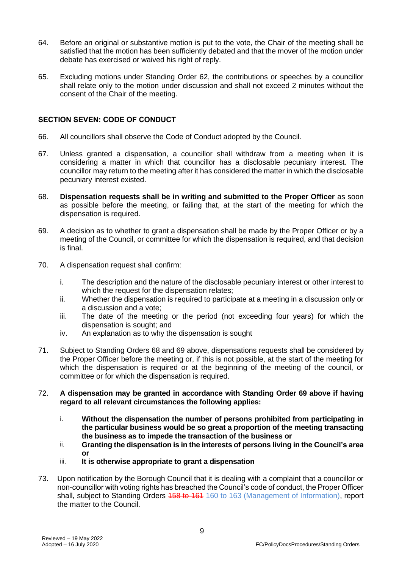- 64. Before an original or substantive motion is put to the vote, the Chair of the meeting shall be satisfied that the motion has been sufficiently debated and that the mover of the motion under debate has exercised or waived his right of reply.
- 65. Excluding motions under Standing Order 62, the contributions or speeches by a councillor shall relate only to the motion under discussion and shall not exceed 2 minutes without the consent of the Chair of the meeting.

## **SECTION SEVEN: CODE OF CONDUCT**

- 66. All councillors shall observe the Code of Conduct adopted by the Council.
- 67. Unless granted a dispensation, a councillor shall withdraw from a meeting when it is considering a matter in which that councillor has a disclosable pecuniary interest. The councillor may return to the meeting after it has considered the matter in which the disclosable pecuniary interest existed.
- 68. **Dispensation requests shall be in writing and submitted to the Proper Officer** as soon as possible before the meeting, or failing that, at the start of the meeting for which the dispensation is required.
- 69. A decision as to whether to grant a dispensation shall be made by the Proper Officer or by a meeting of the Council, or committee for which the dispensation is required, and that decision is final.
- 70. A dispensation request shall confirm:
	- i. The description and the nature of the disclosable pecuniary interest or other interest to which the request for the dispensation relates;
	- ii. Whether the dispensation is required to participate at a meeting in a discussion only or a discussion and a vote;
	- iii. The date of the meeting or the period (not exceeding four years) for which the dispensation is sought; and
	- iv. An explanation as to why the dispensation is sought
- 71. Subject to Standing Orders 68 and 69 above, dispensations requests shall be considered by the Proper Officer before the meeting or, if this is not possible, at the start of the meeting for which the dispensation is required or at the beginning of the meeting of the council, or committee or for which the dispensation is required.
- 72. **A dispensation may be granted in accordance with Standing Order 69 above if having regard to all relevant circumstances the following applies:**
	- i. **Without the dispensation the number of persons prohibited from participating in the particular business would be so great a proportion of the meeting transacting the business as to impede the transaction of the business or**
	- ii. **Granting the dispensation is in the interests of persons living in the Council's area or**
	- iii. **It is otherwise appropriate to grant a dispensation**
- 73. Upon notification by the Borough Council that it is dealing with a complaint that a councillor or non-councillor with voting rights has breached the Council's code of conduct, the Proper Officer shall, subject to Standing Orders 458 to 164 160 to 163 (Management of Information), report the matter to the Council.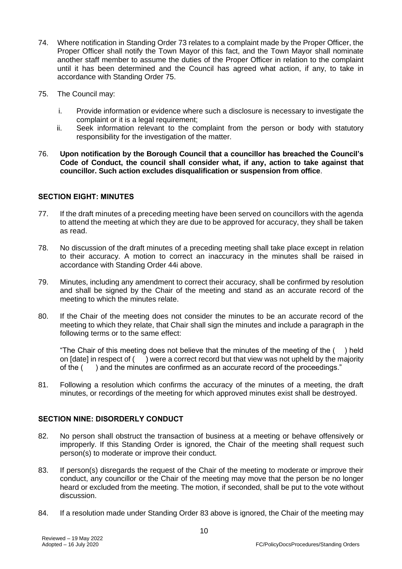- 74. Where notification in Standing Order 73 relates to a complaint made by the Proper Officer, the Proper Officer shall notify the Town Mayor of this fact, and the Town Mayor shall nominate another staff member to assume the duties of the Proper Officer in relation to the complaint until it has been determined and the Council has agreed what action, if any, to take in accordance with Standing Order 75.
- 75. The Council may:
	- i. Provide information or evidence where such a disclosure is necessary to investigate the complaint or it is a legal requirement;
	- ii. Seek information relevant to the complaint from the person or body with statutory responsibility for the investigation of the matter.
- 76. **Upon notification by the Borough Council that a councillor has breached the Council's Code of Conduct, the council shall consider what, if any, action to take against that councillor. Such action excludes disqualification or suspension from office**.

## **SECTION EIGHT: MINUTES**

- 77. If the draft minutes of a preceding meeting have been served on councillors with the agenda to attend the meeting at which they are due to be approved for accuracy, they shall be taken as read.
- 78. No discussion of the draft minutes of a preceding meeting shall take place except in relation to their accuracy. A motion to correct an inaccuracy in the minutes shall be raised in accordance with Standing Order 44i above.
- 79. Minutes, including any amendment to correct their accuracy, shall be confirmed by resolution and shall be signed by the Chair of the meeting and stand as an accurate record of the meeting to which the minutes relate.
- 80. If the Chair of the meeting does not consider the minutes to be an accurate record of the meeting to which they relate, that Chair shall sign the minutes and include a paragraph in the following terms or to the same effect:

"The Chair of this meeting does not believe that the minutes of the meeting of the  $($ ) held on [date] in respect of ( ) were a correct record but that view was not upheld by the majority of the ( ) and the minutes are confirmed as an accurate record of the proceedings."

81. Following a resolution which confirms the accuracy of the minutes of a meeting, the draft minutes, or recordings of the meeting for which approved minutes exist shall be destroyed.

## **SECTION NINE: DISORDERLY CONDUCT**

- 82. No person shall obstruct the transaction of business at a meeting or behave offensively or improperly. If this Standing Order is ignored, the Chair of the meeting shall request such person(s) to moderate or improve their conduct.
- 83. If person(s) disregards the request of the Chair of the meeting to moderate or improve their conduct, any councillor or the Chair of the meeting may move that the person be no longer heard or excluded from the meeting. The motion, if seconded, shall be put to the vote without discussion.
- 84. If a resolution made under Standing Order 83 above is ignored, the Chair of the meeting may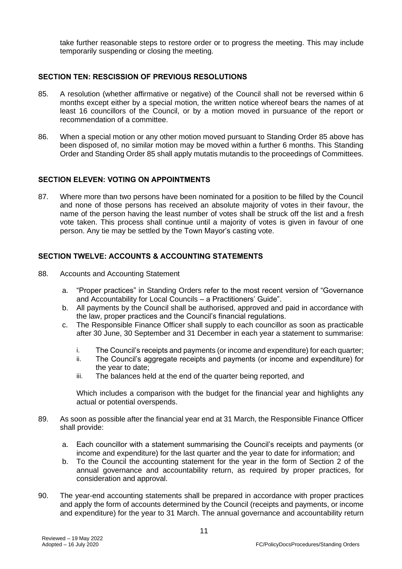take further reasonable steps to restore order or to progress the meeting. This may include temporarily suspending or closing the meeting.

#### **SECTION TEN: RESCISSION OF PREVIOUS RESOLUTIONS**

- 85. A resolution (whether affirmative or negative) of the Council shall not be reversed within 6 months except either by a special motion, the written notice whereof bears the names of at least 16 councillors of the Council, or by a motion moved in pursuance of the report or recommendation of a committee.
- 86. When a special motion or any other motion moved pursuant to Standing Order 85 above has been disposed of, no similar motion may be moved within a further 6 months. This Standing Order and Standing Order 85 shall apply mutatis mutandis to the proceedings of Committees.

## **SECTION ELEVEN: VOTING ON APPOINTMENTS**

87. Where more than two persons have been nominated for a position to be filled by the Council and none of those persons has received an absolute majority of votes in their favour, the name of the person having the least number of votes shall be struck off the list and a fresh vote taken. This process shall continue until a majority of votes is given in favour of one person. Any tie may be settled by the Town Mayor's casting vote.

## **SECTION TWELVE: ACCOUNTS & ACCOUNTING STATEMENTS**

- 88. Accounts and Accounting Statement
	- a. "Proper practices" in Standing Orders refer to the most recent version of "Governance and Accountability for Local Councils – a Practitioners' Guide".
	- b. All payments by the Council shall be authorised, approved and paid in accordance with the law, proper practices and the Council's financial regulations.
	- c. The Responsible Finance Officer shall supply to each councillor as soon as practicable after 30 June, 30 September and 31 December in each year a statement to summarise:
		- i. The Council's receipts and payments (or income and expenditure) for each quarter;
		- ii. The Council's aggregate receipts and payments (or income and expenditure) for the year to date;
		- iii. The balances held at the end of the quarter being reported, and

Which includes a comparison with the budget for the financial year and highlights any actual or potential overspends.

- 89. As soon as possible after the financial year end at 31 March, the Responsible Finance Officer shall provide:
	- a. Each councillor with a statement summarising the Council's receipts and payments (or income and expenditure) for the last quarter and the year to date for information; and
	- b. To the Council the accounting statement for the year in the form of Section 2 of the annual governance and accountability return, as required by proper practices, for consideration and approval.
- 90. The year-end accounting statements shall be prepared in accordance with proper practices and apply the form of accounts determined by the Council (receipts and payments, or income and expenditure) for the year to 31 March. The annual governance and accountability return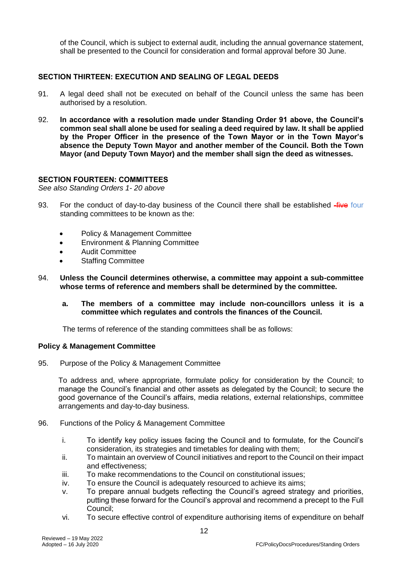of the Council, which is subject to external audit, including the annual governance statement, shall be presented to the Council for consideration and formal approval before 30 June.

## **SECTION THIRTEEN: EXECUTION AND SEALING OF LEGAL DEEDS**

- 91. A legal deed shall not be executed on behalf of the Council unless the same has been authorised by a resolution.
- 92. **In accordance with a resolution made under Standing Order 91 above, the Council's common seal shall alone be used for sealing a deed required by law. It shall be applied by the Proper Officer in the presence of the Town Mayor or in the Town Mayor's absence the Deputy Town Mayor and another member of the Council. Both the Town Mayor (and Deputy Town Mayor) and the member shall sign the deed as witnesses.**

#### **SECTION FOURTEEN: COMMITTEES**

*See also Standing Orders 1- 20 above* 

- 93. For the conduct of day-to-day business of the Council there shall be established -five four standing committees to be known as the:
	- Policy & Management Committee
	- Environment & Planning Committee
	- Audit Committee
	- Staffing Committee
- 94. **Unless the Council determines otherwise, a committee may appoint a sub-committee whose terms of reference and members shall be determined by the committee.**
	- **a. The members of a committee may include non-councillors unless it is a committee which regulates and controls the finances of the Council.**

The terms of reference of the standing committees shall be as follows:

#### **Policy & Management Committee**

95. Purpose of the Policy & Management Committee

To address and, where appropriate, formulate policy for consideration by the Council; to manage the Council's financial and other assets as delegated by the Council; to secure the good governance of the Council's affairs, media relations, external relationships, committee arrangements and day-to-day business.

- 96. Functions of the Policy & Management Committee
	- i. To identify key policy issues facing the Council and to formulate, for the Council's consideration, its strategies and timetables for dealing with them;
	- ii. To maintain an overview of Council initiatives and report to the Council on their impact and effectiveness;
	- iii. To make recommendations to the Council on constitutional issues;
	- iv. To ensure the Council is adequately resourced to achieve its aims;
	- v. To prepare annual budgets reflecting the Council's agreed strategy and priorities, putting these forward for the Council's approval and recommend a precept to the Full Council;
	- vi. To secure effective control of expenditure authorising items of expenditure on behalf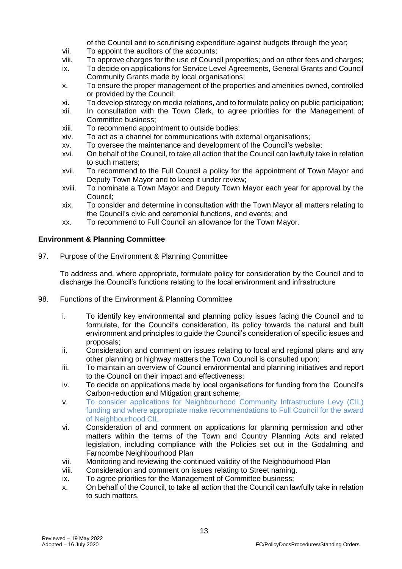of the Council and to scrutinising expenditure against budgets through the year;

- vii. To appoint the auditors of the accounts;
- viii. To approve charges for the use of Council properties; and on other fees and charges;
- ix. To decide on applications for Service Level Agreements, General Grants and Council Community Grants made by local organisations;
- x. To ensure the proper management of the properties and amenities owned, controlled or provided by the Council;
- xi. To develop strategy on media relations, and to formulate policy on public participation;
- xii. In consultation with the Town Clerk, to agree priorities for the Management of Committee business;
- xiii. To recommend appointment to outside bodies;
- xiv. To act as a channel for communications with external organisations;
- xv. To oversee the maintenance and development of the Council's website;
- xvi. On behalf of the Council, to take all action that the Council can lawfully take in relation to such matters;
- xvii. To recommend to the Full Council a policy for the appointment of Town Mayor and Deputy Town Mayor and to keep it under review;
- xviii. To nominate a Town Mayor and Deputy Town Mayor each year for approval by the Council;
- xix. To consider and determine in consultation with the Town Mayor all matters relating to the Council's civic and ceremonial functions, and events; and
- xx. To recommend to Full Council an allowance for the Town Mayor.

## **Environment & Planning Committee**

97. Purpose of the Environment & Planning Committee

To address and, where appropriate, formulate policy for consideration by the Council and to discharge the Council's functions relating to the local environment and infrastructure

- 98. Functions of the Environment & Planning Committee
	- i. To identify key environmental and planning policy issues facing the Council and to formulate, for the Council's consideration, its policy towards the natural and built environment and principles to guide the Council's consideration of specific issues and proposals;
	- ii. Consideration and comment on issues relating to local and regional plans and any other planning or highway matters the Town Council is consulted upon;
	- iii. To maintain an overview of Council environmental and planning initiatives and report to the Council on their impact and effectiveness;
	- iv. To decide on applications made by local organisations for funding from the Council's Carbon-reduction and Mitigation grant scheme;
	- v. To consider applications for Neighbourhood Community Infrastructure Levy (CIL) funding and where appropriate make recommendations to Full Council for the award of Neighbourhood CIL
	- vi. Consideration of and comment on applications for planning permission and other matters within the terms of the Town and Country Planning Acts and related legislation, including compliance with the Policies set out in the Godalming and Farncombe Neighbourhood Plan
	- vii. Monitoring and reviewing the continued validity of the Neighbourhood Plan
	- viii. Consideration and comment on issues relating to Street naming.
	- ix. To agree priorities for the Management of Committee business;
	- x. On behalf of the Council, to take all action that the Council can lawfully take in relation to such matters.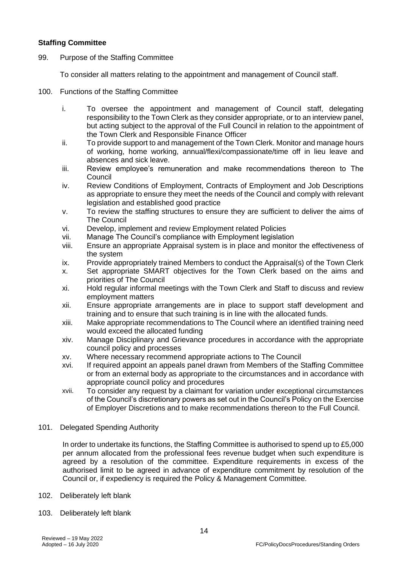## **Staffing Committee**

99. Purpose of the Staffing Committee

To consider all matters relating to the appointment and management of Council staff.

- 100. Functions of the Staffing Committee
	- i. To oversee the appointment and management of Council staff, delegating responsibility to the Town Clerk as they consider appropriate, or to an interview panel, but acting subject to the approval of the Full Council in relation to the appointment of the Town Clerk and Responsible Finance Officer
	- ii. To provide support to and management of the Town Clerk. Monitor and manage hours of working, home working, annual/flexi/compassionate/time off in lieu leave and absences and sick leave.
	- iii. Review employee's remuneration and make recommendations thereon to The Council
	- iv. Review Conditions of Employment, Contracts of Employment and Job Descriptions as appropriate to ensure they meet the needs of the Council and comply with relevant legislation and established good practice
	- v. To review the staffing structures to ensure they are sufficient to deliver the aims of The Council
	- vi. Develop, implement and review Employment related Policies
	- vii. Manage The Council's compliance with Employment legislation
	- viii. Ensure an appropriate Appraisal system is in place and monitor the effectiveness of the system
	- ix. Provide appropriately trained Members to conduct the Appraisal(s) of the Town Clerk
	- x. Set appropriate SMART objectives for the Town Clerk based on the aims and priorities of The Council
	- xi. Hold regular informal meetings with the Town Clerk and Staff to discuss and review employment matters
	- xii. Ensure appropriate arrangements are in place to support staff development and training and to ensure that such training is in line with the allocated funds.
	- xiii. Make appropriate recommendations to The Council where an identified training need would exceed the allocated funding
	- xiv. Manage Disciplinary and Grievance procedures in accordance with the appropriate council policy and processes
	- xv. Where necessary recommend appropriate actions to The Council
	- xvi. If required appoint an appeals panel drawn from Members of the Staffing Committee or from an external body as appropriate to the circumstances and in accordance with appropriate council policy and procedures
	- xvii. To consider any request by a claimant for variation under exceptional circumstances of the Council's discretionary powers as set out in the Council's Policy on the Exercise of Employer Discretions and to make recommendations thereon to the Full Council.
- 101. Delegated Spending Authority

In order to undertake its functions, the Staffing Committee is authorised to spend up to £5,000 per annum allocated from the professional fees revenue budget when such expenditure is agreed by a resolution of the committee. Expenditure requirements in excess of the authorised limit to be agreed in advance of expenditure commitment by resolution of the Council or, if expediency is required the Policy & Management Committee.

- 102. Deliberately left blank
- 103. Deliberately left blank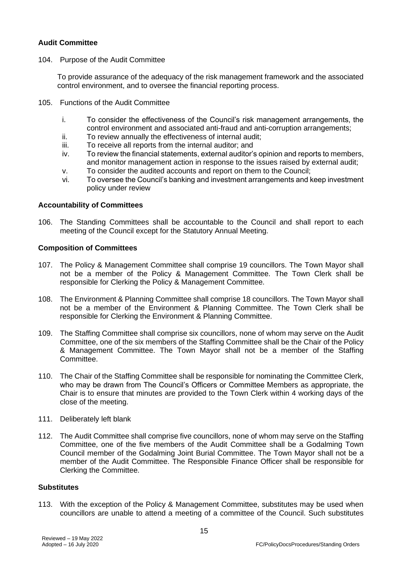## **Audit Committee**

104. Purpose of the Audit Committee

To provide assurance of the adequacy of the risk management framework and the associated control environment, and to oversee the financial reporting process.

- 105. Functions of the Audit Committee
	- i. To consider the effectiveness of the Council's risk management arrangements, the control environment and associated anti-fraud and anti-corruption arrangements;
	- ii. To review annually the effectiveness of internal audit;
	- iii. To receive all reports from the internal auditor; and
	- iv. To review the financial statements, external auditor's opinion and reports to members, and monitor management action in response to the issues raised by external audit;
	- v. To consider the audited accounts and report on them to the Council;
	- vi. To oversee the Council's banking and investment arrangements and keep investment policy under review

#### **Accountability of Committees**

106. The Standing Committees shall be accountable to the Council and shall report to each meeting of the Council except for the Statutory Annual Meeting.

#### **Composition of Committees**

- 107. The Policy & Management Committee shall comprise 19 councillors. The Town Mayor shall not be a member of the Policy & Management Committee. The Town Clerk shall be responsible for Clerking the Policy & Management Committee.
- 108. The Environment & Planning Committee shall comprise 18 councillors. The Town Mayor shall not be a member of the Environment & Planning Committee. The Town Clerk shall be responsible for Clerking the Environment & Planning Committee.
- 109. The Staffing Committee shall comprise six councillors, none of whom may serve on the Audit Committee, one of the six members of the Staffing Committee shall be the Chair of the Policy & Management Committee. The Town Mayor shall not be a member of the Staffing Committee.
- 110. The Chair of the Staffing Committee shall be responsible for nominating the Committee Clerk, who may be drawn from The Council's Officers or Committee Members as appropriate, the Chair is to ensure that minutes are provided to the Town Clerk within 4 working days of the close of the meeting.
- 111. Deliberately left blank
- 112. The Audit Committee shall comprise five councillors, none of whom may serve on the Staffing Committee, one of the five members of the Audit Committee shall be a Godalming Town Council member of the Godalming Joint Burial Committee. The Town Mayor shall not be a member of the Audit Committee. The Responsible Finance Officer shall be responsible for Clerking the Committee.

#### **Substitutes**

113. With the exception of the Policy & Management Committee, substitutes may be used when councillors are unable to attend a meeting of a committee of the Council. Such substitutes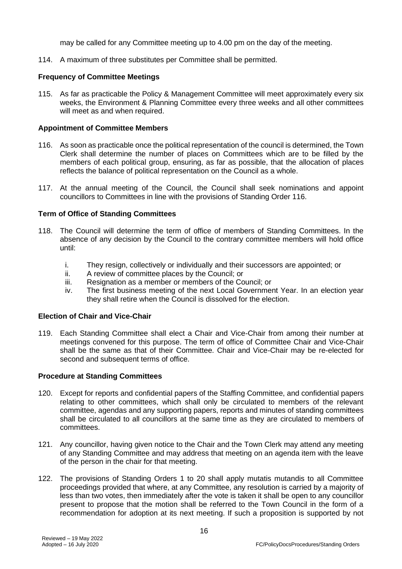may be called for any Committee meeting up to 4.00 pm on the day of the meeting.

114. A maximum of three substitutes per Committee shall be permitted.

#### **Frequency of Committee Meetings**

115. As far as practicable the Policy & Management Committee will meet approximately every six weeks, the Environment & Planning Committee every three weeks and all other committees will meet as and when required.

#### **Appointment of Committee Members**

- 116. As soon as practicable once the political representation of the council is determined, the Town Clerk shall determine the number of places on Committees which are to be filled by the members of each political group, ensuring, as far as possible, that the allocation of places reflects the balance of political representation on the Council as a whole.
- 117. At the annual meeting of the Council, the Council shall seek nominations and appoint councillors to Committees in line with the provisions of Standing Order 116.

#### **Term of Office of Standing Committees**

- 118. The Council will determine the term of office of members of Standing Committees. In the absence of any decision by the Council to the contrary committee members will hold office until:
	- i. They resign, collectively or individually and their successors are appointed; or
	- ii. A review of committee places by the Council; or
	- iii. Resignation as a member or members of the Council; or
	- iv. The first business meeting of the next Local Government Year. In an election year they shall retire when the Council is dissolved for the election.

#### **Election of Chair and Vice-Chair**

119. Each Standing Committee shall elect a Chair and Vice-Chair from among their number at meetings convened for this purpose. The term of office of Committee Chair and Vice-Chair shall be the same as that of their Committee. Chair and Vice-Chair may be re-elected for second and subsequent terms of office.

#### **Procedure at Standing Committees**

- 120. Except for reports and confidential papers of the Staffing Committee, and confidential papers relating to other committees, which shall only be circulated to members of the relevant committee, agendas and any supporting papers, reports and minutes of standing committees shall be circulated to all councillors at the same time as they are circulated to members of committees.
- 121. Any councillor, having given notice to the Chair and the Town Clerk may attend any meeting of any Standing Committee and may address that meeting on an agenda item with the leave of the person in the chair for that meeting.
- 122. The provisions of Standing Orders 1 to 20 shall apply mutatis mutandis to all Committee proceedings provided that where, at any Committee, any resolution is carried by a majority of less than two votes, then immediately after the vote is taken it shall be open to any councillor present to propose that the motion shall be referred to the Town Council in the form of a recommendation for adoption at its next meeting. If such a proposition is supported by not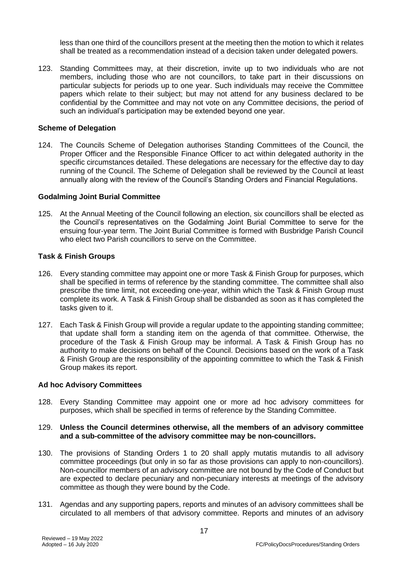less than one third of the councillors present at the meeting then the motion to which it relates shall be treated as a recommendation instead of a decision taken under delegated powers.

123. Standing Committees may, at their discretion, invite up to two individuals who are not members, including those who are not councillors, to take part in their discussions on particular subjects for periods up to one year. Such individuals may receive the Committee papers which relate to their subject; but may not attend for any business declared to be confidential by the Committee and may not vote on any Committee decisions, the period of such an individual's participation may be extended beyond one year.

#### **Scheme of Delegation**

124. The Councils Scheme of Delegation authorises Standing Committees of the Council, the Proper Officer and the Responsible Finance Officer to act within delegated authority in the specific circumstances detailed. These delegations are necessary for the effective day to day running of the Council. The Scheme of Delegation shall be reviewed by the Council at least annually along with the review of the Council's Standing Orders and Financial Regulations.

#### **Godalming Joint Burial Committee**

125. At the Annual Meeting of the Council following an election, six councillors shall be elected as the Council's representatives on the Godalming Joint Burial Committee to serve for the ensuing four-year term. The Joint Burial Committee is formed with Busbridge Parish Council who elect two Parish councillors to serve on the Committee.

#### **Task & Finish Groups**

- 126. Every standing committee may appoint one or more Task & Finish Group for purposes, which shall be specified in terms of reference by the standing committee. The committee shall also prescribe the time limit, not exceeding one-year, within which the Task & Finish Group must complete its work. A Task & Finish Group shall be disbanded as soon as it has completed the tasks given to it.
- 127. Each Task & Finish Group will provide a regular update to the appointing standing committee; that update shall form a standing item on the agenda of that committee. Otherwise, the procedure of the Task & Finish Group may be informal. A Task & Finish Group has no authority to make decisions on behalf of the Council. Decisions based on the work of a Task & Finish Group are the responsibility of the appointing committee to which the Task & Finish Group makes its report.

#### **Ad hoc Advisory Committees**

128. Every Standing Committee may appoint one or more ad hoc advisory committees for purposes, which shall be specified in terms of reference by the Standing Committee.

#### 129. **Unless the Council determines otherwise, all the members of an advisory committee and a sub-committee of the advisory committee may be non-councillors.**

- 130. The provisions of Standing Orders 1 to 20 shall apply mutatis mutandis to all advisory committee proceedings (but only in so far as those provisions can apply to non-councillors). Non-councillor members of an advisory committee are not bound by the Code of Conduct but are expected to declare pecuniary and non-pecuniary interests at meetings of the advisory committee as though they were bound by the Code.
- 131. Agendas and any supporting papers, reports and minutes of an advisory committees shall be circulated to all members of that advisory committee. Reports and minutes of an advisory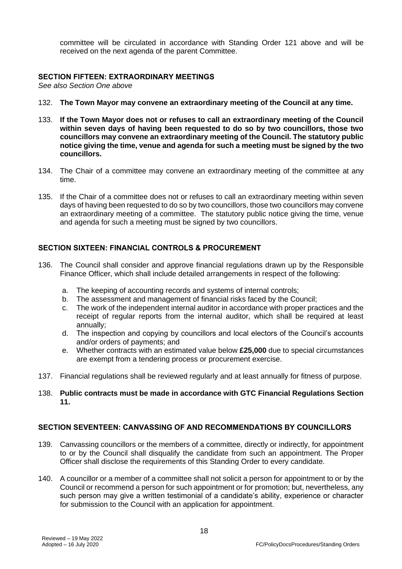committee will be circulated in accordance with Standing Order 121 above and will be received on the next agenda of the parent Committee.

#### **SECTION FIFTEEN: EXTRAORDINARY MEETINGS**

*See also Section One above*

- 132. **The Town Mayor may convene an extraordinary meeting of the Council at any time.**
- 133. **If the Town Mayor does not or refuses to call an extraordinary meeting of the Council within seven days of having been requested to do so by two councillors, those two councillors may convene an extraordinary meeting of the Council. The statutory public notice giving the time, venue and agenda for such a meeting must be signed by the two councillors.**
- 134. The Chair of a committee may convene an extraordinary meeting of the committee at any time.
- 135. If the Chair of a committee does not or refuses to call an extraordinary meeting within seven days of having been requested to do so by two councillors, those two councillors may convene an extraordinary meeting of a committee. The statutory public notice giving the time, venue and agenda for such a meeting must be signed by two councillors.

## **SECTION SIXTEEN: FINANCIAL CONTROLS & PROCUREMENT**

- 136. The Council shall consider and approve financial regulations drawn up by the Responsible Finance Officer, which shall include detailed arrangements in respect of the following:
	- a. The keeping of accounting records and systems of internal controls;
	- b. The assessment and management of financial risks faced by the Council;
	- c. The work of the independent internal auditor in accordance with proper practices and the receipt of regular reports from the internal auditor, which shall be required at least annually;
	- d. The inspection and copying by councillors and local electors of the Council's accounts and/or orders of payments; and
	- e. Whether contracts with an estimated value below **£25,000** due to special circumstances are exempt from a tendering process or procurement exercise.
- 137. Financial regulations shall be reviewed regularly and at least annually for fitness of purpose.
- 138. **Public contracts must be made in accordance with GTC Financial Regulations Section 11.**

## **SECTION SEVENTEEN: CANVASSING OF AND RECOMMENDATIONS BY COUNCILLORS**

- 139. Canvassing councillors or the members of a committee, directly or indirectly, for appointment to or by the Council shall disqualify the candidate from such an appointment. The Proper Officer shall disclose the requirements of this Standing Order to every candidate.
- 140. A councillor or a member of a committee shall not solicit a person for appointment to or by the Council or recommend a person for such appointment or for promotion; but, nevertheless, any such person may give a written testimonial of a candidate's ability, experience or character for submission to the Council with an application for appointment.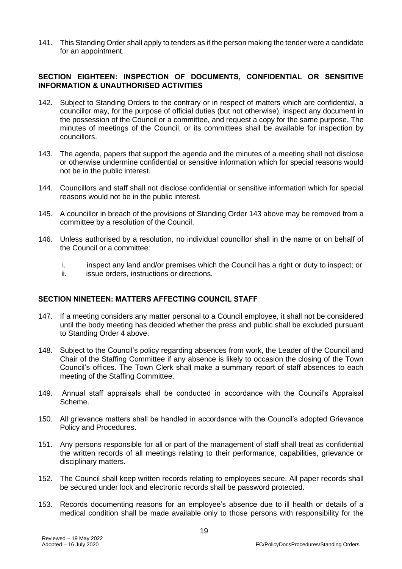141. This Standing Order shall apply to tenders as if the person making the tender were a candidate for an appointment.

## **SECTION EIGHTEEN: INSPECTION OF DOCUMENTS, CONFIDENTIAL OR SENSITIVE INFORMATION & UNAUTHORISED ACTIVITIES**

- 142. Subject to Standing Orders to the contrary or in respect of matters which are confidential, a councillor may, for the purpose of official duties (but not otherwise), inspect any document in the possession of the Council or a committee, and request a copy for the same purpose. The minutes of meetings of the Council, or its committees shall be available for inspection by councillors.
- 143. The agenda, papers that support the agenda and the minutes of a meeting shall not disclose or otherwise undermine confidential or sensitive information which for special reasons would not be in the public interest.
- 144. Councillors and staff shall not disclose confidential or sensitive information which for special reasons would not be in the public interest.
- 145. A councillor in breach of the provisions of Standing Order 143 above may be removed from a committee by a resolution of the Council.
- 146. Unless authorised by a resolution, no individual councillor shall in the name or on behalf of the Council or a committee:
	- i. inspect any land and/or premises which the Council has a right or duty to inspect; or
	- ii. issue orders, instructions or directions.

## **SECTION NINETEEN: MATTERS AFFECTING COUNCIL STAFF**

- 147. If a meeting considers any matter personal to a Council employee, it shall not be considered until the body meeting has decided whether the press and public shall be excluded pursuant to Standing Order 4 above.
- 148. Subject to the Council's policy regarding absences from work, the Leader of the Council and Chair of the Staffing Committee if any absence is likely to occasion the closing of the Town Council's offices. The Town Clerk shall make a summary report of staff absences to each meeting of the Staffing Committee.
- 149. Annual staff appraisals shall be conducted in accordance with the Council's Appraisal Scheme.
- 150. All grievance matters shall be handled in accordance with the Council's adopted Grievance Policy and Procedures.
- 151. Any persons responsible for all or part of the management of staff shall treat as confidential the written records of all meetings relating to their performance, capabilities, grievance or disciplinary matters.
- 152. The Council shall keep written records relating to employees secure. All paper records shall be secured under lock and electronic records shall be password protected.
- 153. Records documenting reasons for an employee's absence due to ill health or details of a medical condition shall be made available only to those persons with responsibility for the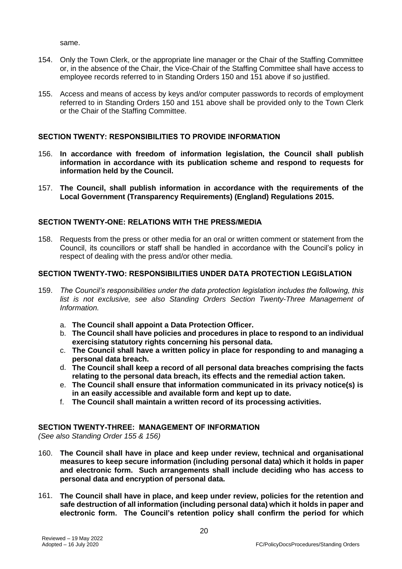same.

- 154. Only the Town Clerk, or the appropriate line manager or the Chair of the Staffing Committee or, in the absence of the Chair, the Vice-Chair of the Staffing Committee shall have access to employee records referred to in Standing Orders 150 and 151 above if so justified.
- 155. Access and means of access by keys and/or computer passwords to records of employment referred to in Standing Orders 150 and 151 above shall be provided only to the Town Clerk or the Chair of the Staffing Committee.

## **SECTION TWENTY: RESPONSIBILITIES TO PROVIDE INFORMATION**

- 156. **In accordance with freedom of information legislation, the Council shall publish information in accordance with its publication scheme and respond to requests for information held by the Council.**
- 157. **The Council, shall publish information in accordance with the requirements of the Local Government (Transparency Requirements) (England) Regulations 2015.**

## **SECTION TWENTY-ONE: RELATIONS WITH THE PRESS/MEDIA**

158. Requests from the press or other media for an oral or written comment or statement from the Council, its councillors or staff shall be handled in accordance with the Council's policy in respect of dealing with the press and/or other media.

## **SECTION TWENTY-TWO: RESPONSIBILITIES UNDER DATA PROTECTION LEGISLATION**

- 159. *The Council's responsibilities under the data protection legislation includes the following, this list is not exclusive, see also Standing Orders Section Twenty-Three Management of Information.*
	- a. **The Council shall appoint a Data Protection Officer.**
	- b. **The Council shall have policies and procedures in place to respond to an individual exercising statutory rights concerning his personal data.**
	- c. **The Council shall have a written policy in place for responding to and managing a personal data breach.**
	- d. **The Council shall keep a record of all personal data breaches comprising the facts relating to the personal data breach, its effects and the remedial action taken.**
	- e. **The Council shall ensure that information communicated in its privacy notice(s) is in an easily accessible and available form and kept up to date.**
	- f. **The Council shall maintain a written record of its processing activities.**

## **SECTION TWENTY-THREE: MANAGEMENT OF INFORMATION**

*(See also Standing Order 155 & 156)*

- 160. **The Council shall have in place and keep under review, technical and organisational measures to keep secure information (including personal data) which it holds in paper and electronic form. Such arrangements shall include deciding who has access to personal data and encryption of personal data.**
- 161. **The Council shall have in place, and keep under review, policies for the retention and safe destruction of all information (including personal data) which it holds in paper and electronic form. The Council's retention policy shall confirm the period for which**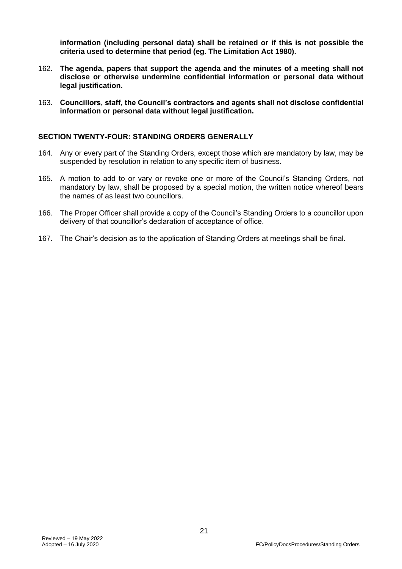**information (including personal data) shall be retained or if this is not possible the criteria used to determine that period (eg. The Limitation Act 1980).**

- 162. **The agenda, papers that support the agenda and the minutes of a meeting shall not disclose or otherwise undermine confidential information or personal data without legal justification.**
- 163. **Councillors, staff, the Council's contractors and agents shall not disclose confidential information or personal data without legal justification.**

#### **SECTION TWENTY-FOUR: STANDING ORDERS GENERALLY**

- 164. Any or every part of the Standing Orders, except those which are mandatory by law, may be suspended by resolution in relation to any specific item of business.
- 165. A motion to add to or vary or revoke one or more of the Council's Standing Orders, not mandatory by law, shall be proposed by a special motion, the written notice whereof bears the names of as least two councillors.
- 166. The Proper Officer shall provide a copy of the Council's Standing Orders to a councillor upon delivery of that councillor's declaration of acceptance of office.
- 167. The Chair's decision as to the application of Standing Orders at meetings shall be final.